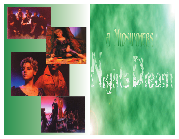

## Q

Y.